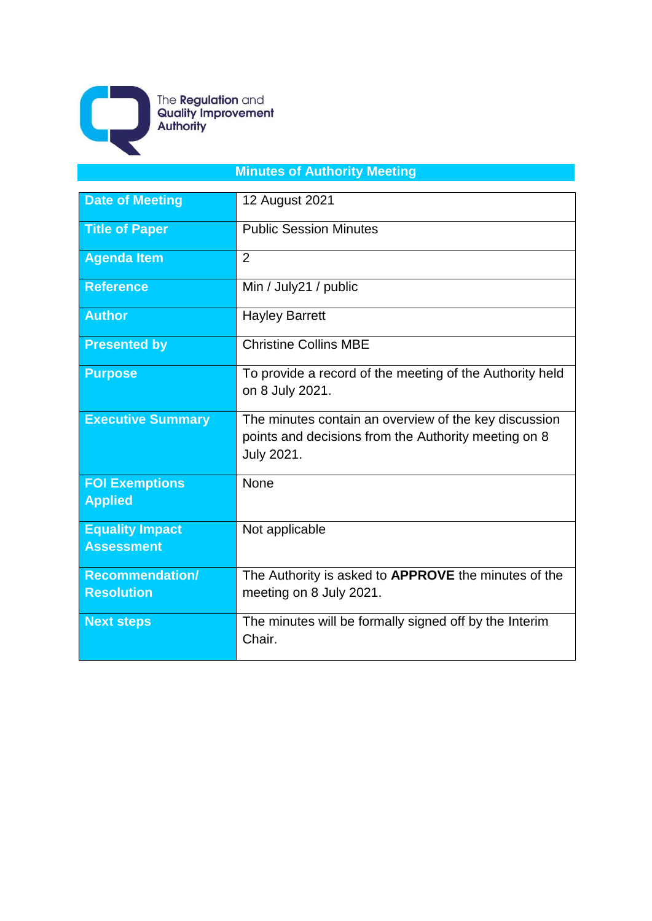

The **Regulation** and<br>**Quality Improvement**<br>**Authority** 

# **Minutes of Authority Meeting**

| <b>Date of Meeting</b>                      | 12 August 2021                                                                                                                     |
|---------------------------------------------|------------------------------------------------------------------------------------------------------------------------------------|
| <b>Title of Paper</b>                       | <b>Public Session Minutes</b>                                                                                                      |
| <b>Agenda Item</b>                          | $\overline{2}$                                                                                                                     |
| <b>Reference</b>                            | Min / July21 / public                                                                                                              |
| <b>Author</b>                               | <b>Hayley Barrett</b>                                                                                                              |
| <b>Presented by</b>                         | <b>Christine Collins MBE</b>                                                                                                       |
| <b>Purpose</b>                              | To provide a record of the meeting of the Authority held<br>on 8 July 2021.                                                        |
| <b>Executive Summary</b>                    | The minutes contain an overview of the key discussion<br>points and decisions from the Authority meeting on 8<br><b>July 2021.</b> |
| <b>FOI Exemptions</b><br><b>Applied</b>     | None                                                                                                                               |
| <b>Equality Impact</b><br><b>Assessment</b> | Not applicable                                                                                                                     |
| <b>Recommendation/</b><br><b>Resolution</b> | The Authority is asked to <b>APPROVE</b> the minutes of the<br>meeting on 8 July 2021.                                             |
| <b>Next steps</b>                           | The minutes will be formally signed off by the Interim<br>Chair.                                                                   |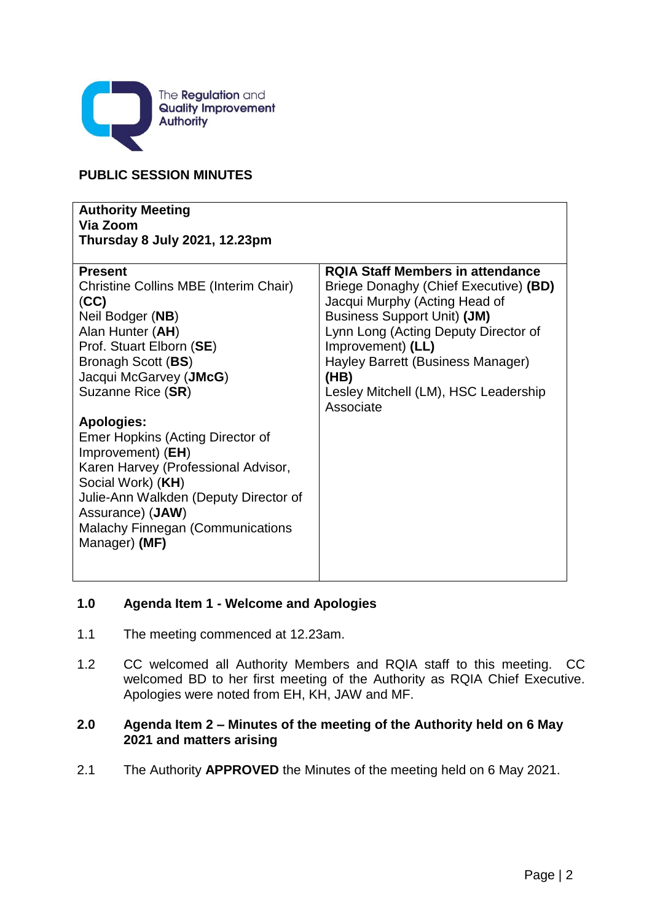

#### **PUBLIC SESSION MINUTES**

| <b>Authority Meeting</b><br>Via Zoom<br><b>Thursday 8 July 2021, 12.23pm</b>                                                                                                                                                                                    |                                                                                                                                                                                                                                                                                                                        |
|-----------------------------------------------------------------------------------------------------------------------------------------------------------------------------------------------------------------------------------------------------------------|------------------------------------------------------------------------------------------------------------------------------------------------------------------------------------------------------------------------------------------------------------------------------------------------------------------------|
| <b>Present</b><br>Christine Collins MBE (Interim Chair)<br>(CC)<br>Neil Bodger (NB)<br>Alan Hunter (AH)<br>Prof. Stuart Elborn (SE)<br>Bronagh Scott (BS)<br>Jacqui McGarvey (JMcG)<br>Suzanne Rice (SR)                                                        | <b>RQIA Staff Members in attendance</b><br>Briege Donaghy (Chief Executive) (BD)<br>Jacqui Murphy (Acting Head of<br><b>Business Support Unit) (JM)</b><br>Lynn Long (Acting Deputy Director of<br>Improvement) (LL)<br>Hayley Barrett (Business Manager)<br>(HB)<br>Lesley Mitchell (LM), HSC Leadership<br>Associate |
| <b>Apologies:</b><br>Emer Hopkins (Acting Director of<br>Improvement) (EH)<br>Karen Harvey (Professional Advisor,<br>Social Work) (KH)<br>Julie-Ann Walkden (Deputy Director of<br>Assurance) (JAW)<br><b>Malachy Finnegan (Communications</b><br>Manager) (MF) |                                                                                                                                                                                                                                                                                                                        |

#### **1.0 Agenda Item 1 - Welcome and Apologies**

- 1.1 The meeting commenced at 12.23am.
- 1.2 CC welcomed all Authority Members and RQIA staff to this meeting. CC welcomed BD to her first meeting of the Authority as RQIA Chief Executive. Apologies were noted from EH, KH, JAW and MF.

### **2.0 Agenda Item 2 – Minutes of the meeting of the Authority held on 6 May 2021 and matters arising**

2.1 The Authority **APPROVED** the Minutes of the meeting held on 6 May 2021.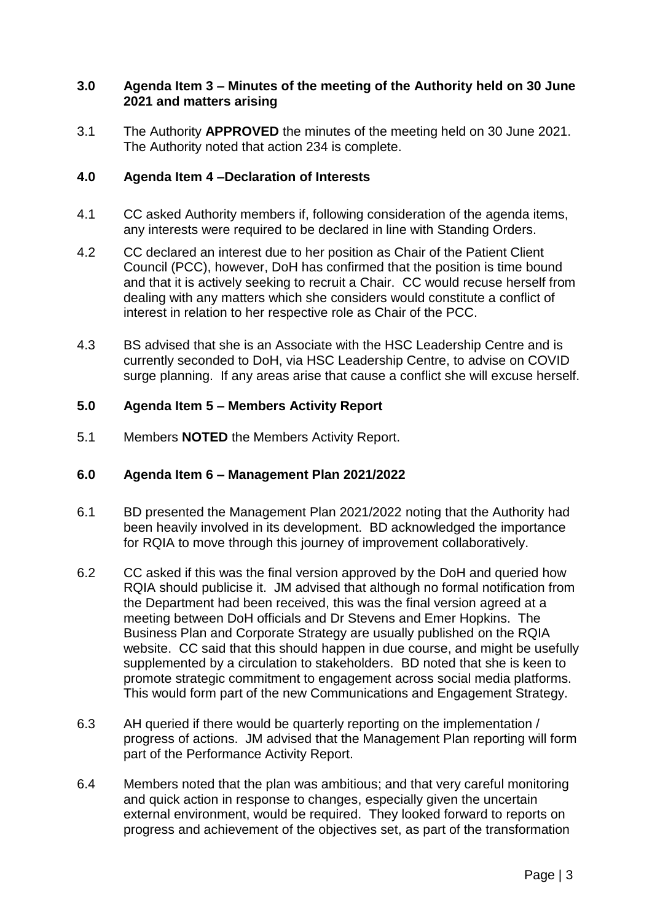#### **3.0 Agenda Item 3 – Minutes of the meeting of the Authority held on 30 June 2021 and matters arising**

3.1 The Authority **APPROVED** the minutes of the meeting held on 30 June 2021. The Authority noted that action 234 is complete.

#### **4.0 Agenda Item 4 –Declaration of Interests**

- 4.1 CC asked Authority members if, following consideration of the agenda items, any interests were required to be declared in line with Standing Orders.
- 4.2 CC declared an interest due to her position as Chair of the Patient Client Council (PCC), however, DoH has confirmed that the position is time bound and that it is actively seeking to recruit a Chair. CC would recuse herself from dealing with any matters which she considers would constitute a conflict of interest in relation to her respective role as Chair of the PCC.
- 4.3 BS advised that she is an Associate with the HSC Leadership Centre and is currently seconded to DoH, via HSC Leadership Centre, to advise on COVID surge planning. If any areas arise that cause a conflict she will excuse herself.

#### **5.0 Agenda Item 5 – Members Activity Report**

5.1 Members **NOTED** the Members Activity Report.

#### **6.0 Agenda Item 6 – Management Plan 2021/2022**

- 6.1 BD presented the Management Plan 2021/2022 noting that the Authority had been heavily involved in its development. BD acknowledged the importance for RQIA to move through this journey of improvement collaboratively.
- 6.2 CC asked if this was the final version approved by the DoH and queried how RQIA should publicise it. JM advised that although no formal notification from the Department had been received, this was the final version agreed at a meeting between DoH officials and Dr Stevens and Emer Hopkins. The Business Plan and Corporate Strategy are usually published on the RQIA website. CC said that this should happen in due course, and might be usefully supplemented by a circulation to stakeholders. BD noted that she is keen to promote strategic commitment to engagement across social media platforms. This would form part of the new Communications and Engagement Strategy.
- 6.3 AH queried if there would be quarterly reporting on the implementation / progress of actions. JM advised that the Management Plan reporting will form part of the Performance Activity Report.
- 6.4 Members noted that the plan was ambitious; and that very careful monitoring and quick action in response to changes, especially given the uncertain external environment, would be required. They looked forward to reports on progress and achievement of the objectives set, as part of the transformation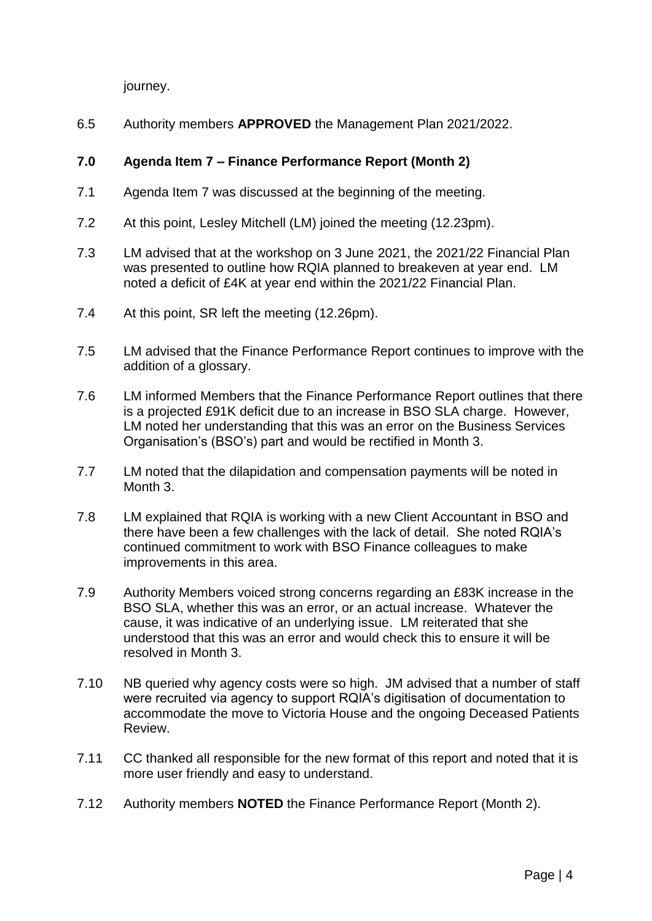journey.

6.5 Authority members **APPROVED** the Management Plan 2021/2022.

## **7.0 Agenda Item 7 – Finance Performance Report (Month 2)**

- 7.1 Agenda Item 7 was discussed at the beginning of the meeting.
- 7.2 At this point, Lesley Mitchell (LM) joined the meeting (12.23pm).
- 7.3 LM advised that at the workshop on 3 June 2021, the 2021/22 Financial Plan was presented to outline how RQIA planned to breakeven at year end. LM noted a deficit of £4K at year end within the 2021/22 Financial Plan.
- 7.4 At this point, SR left the meeting (12.26pm).
- 7.5 LM advised that the Finance Performance Report continues to improve with the addition of a glossary.
- 7.6 LM informed Members that the Finance Performance Report outlines that there is a projected £91K deficit due to an increase in BSO SLA charge. However, LM noted her understanding that this was an error on the Business Services Organisation's (BSO's) part and would be rectified in Month 3.
- 7.7 LM noted that the dilapidation and compensation payments will be noted in Month 3.
- 7.8 LM explained that RQIA is working with a new Client Accountant in BSO and there have been a few challenges with the lack of detail. She noted RQIA's continued commitment to work with BSO Finance colleagues to make improvements in this area.
- 7.9 Authority Members voiced strong concerns regarding an £83K increase in the BSO SLA, whether this was an error, or an actual increase. Whatever the cause, it was indicative of an underlying issue. LM reiterated that she understood that this was an error and would check this to ensure it will be resolved in Month 3.
- 7.10 NB queried why agency costs were so high. JM advised that a number of staff were recruited via agency to support RQIA's digitisation of documentation to accommodate the move to Victoria House and the ongoing Deceased Patients Review.
- 7.11 CC thanked all responsible for the new format of this report and noted that it is more user friendly and easy to understand.
- 7.12 Authority members **NOTED** the Finance Performance Report (Month 2).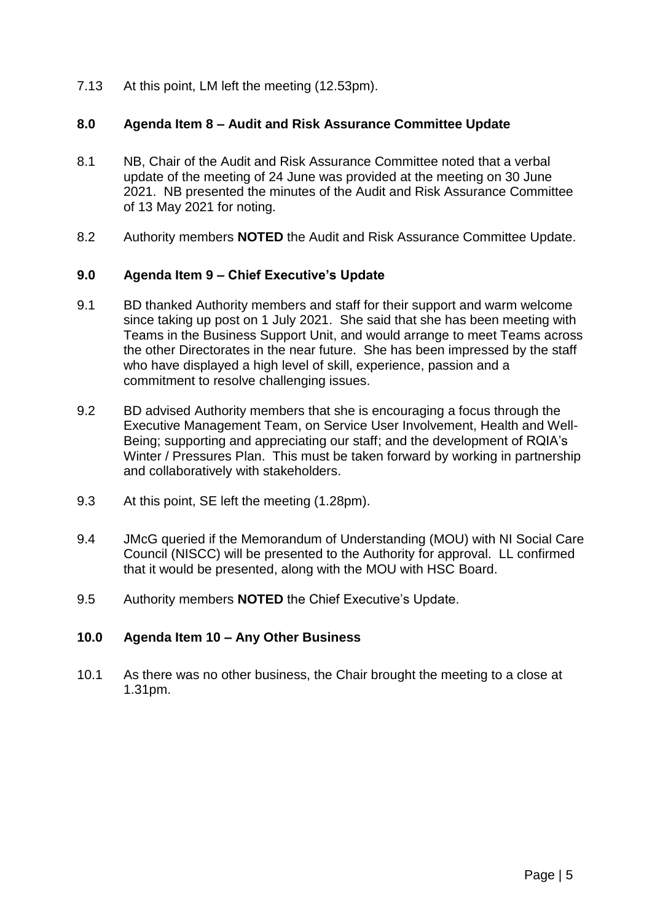7.13 At this point, LM left the meeting (12.53pm).

#### **8.0 Agenda Item 8 – Audit and Risk Assurance Committee Update**

- 8.1 NB, Chair of the Audit and Risk Assurance Committee noted that a verbal update of the meeting of 24 June was provided at the meeting on 30 June 2021. NB presented the minutes of the Audit and Risk Assurance Committee of 13 May 2021 for noting.
- 8.2 Authority members **NOTED** the Audit and Risk Assurance Committee Update.

#### **9.0 Agenda Item 9 – Chief Executive's Update**

- 9.1 BD thanked Authority members and staff for their support and warm welcome since taking up post on 1 July 2021. She said that she has been meeting with Teams in the Business Support Unit, and would arrange to meet Teams across the other Directorates in the near future. She has been impressed by the staff who have displayed a high level of skill, experience, passion and a commitment to resolve challenging issues.
- 9.2 BD advised Authority members that she is encouraging a focus through the Executive Management Team, on Service User Involvement, Health and Well-Being; supporting and appreciating our staff; and the development of RQIA's Winter / Pressures Plan. This must be taken forward by working in partnership and collaboratively with stakeholders.
- 9.3 At this point, SE left the meeting (1.28pm).
- 9.4 JMcG queried if the Memorandum of Understanding (MOU) with NI Social Care Council (NISCC) will be presented to the Authority for approval. LL confirmed that it would be presented, along with the MOU with HSC Board.
- 9.5 Authority members **NOTED** the Chief Executive's Update.

#### **10.0 Agenda Item 10 – Any Other Business**

10.1 As there was no other business, the Chair brought the meeting to a close at 1.31pm.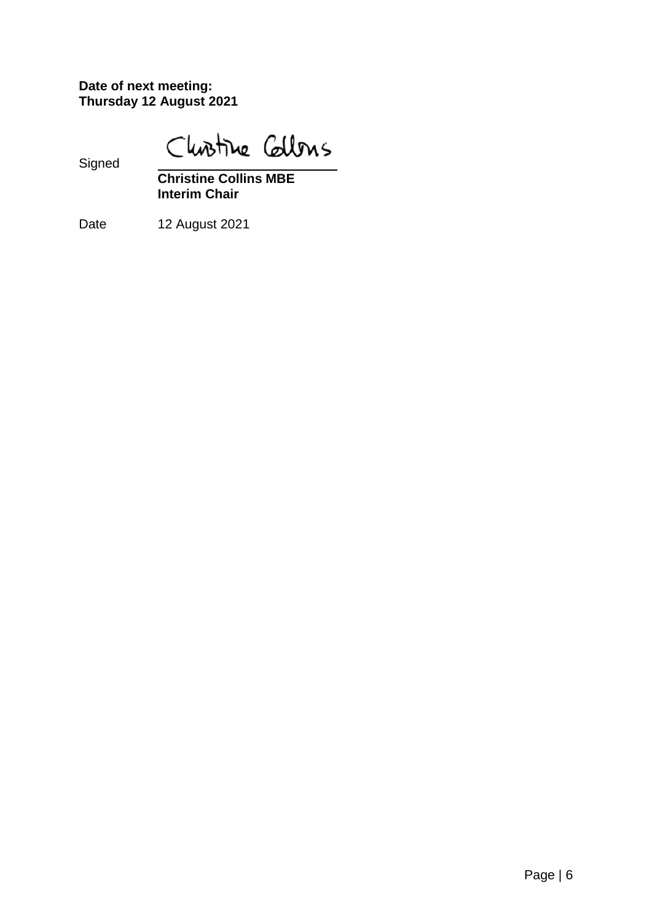**Date of next meeting: Thursday 12 August 2021**

Christine Callons

Signed

**Christine Collins MBE Interim Chair**

Date 12 August 2021